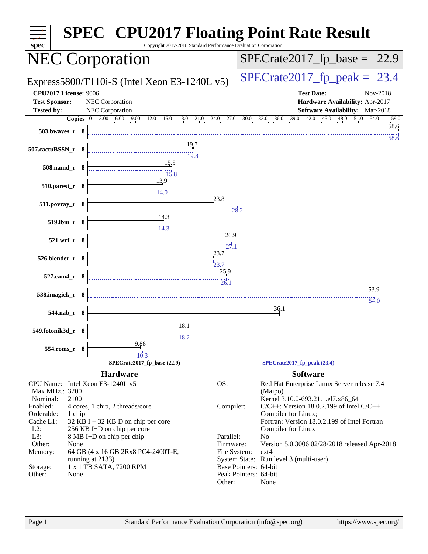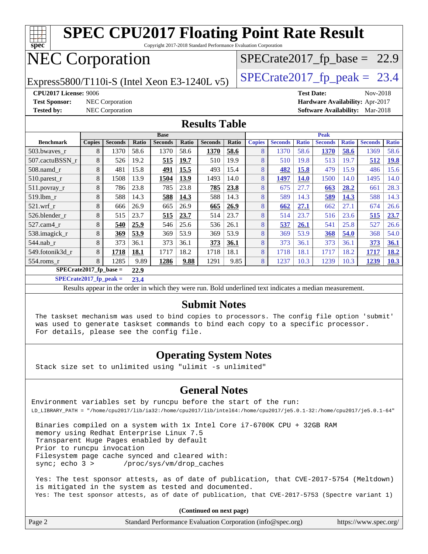

**[SPECrate2017\\_fp\\_peak =](http://www.spec.org/auto/cpu2017/Docs/result-fields.html#SPECrate2017fppeak) 23.4**

Results appear in the [order in which they were run.](http://www.spec.org/auto/cpu2017/Docs/result-fields.html#RunOrder) Bold underlined text [indicates a median measurement.](http://www.spec.org/auto/cpu2017/Docs/result-fields.html#Median)

### **[Submit Notes](http://www.spec.org/auto/cpu2017/Docs/result-fields.html#SubmitNotes)**

 The taskset mechanism was used to bind copies to processors. The config file option 'submit' was used to generate taskset commands to bind each copy to a specific processor. For details, please see the config file.

### **[Operating System Notes](http://www.spec.org/auto/cpu2017/Docs/result-fields.html#OperatingSystemNotes)**

Stack size set to unlimited using "ulimit -s unlimited"

### **[General Notes](http://www.spec.org/auto/cpu2017/Docs/result-fields.html#GeneralNotes)**

Environment variables set by runcpu before the start of the run: LD\_LIBRARY\_PATH = "/home/cpu2017/lib/ia32:/home/cpu2017/lib/intel64:/home/cpu2017/je5.0.1-32:/home/cpu2017/je5.0.1-64"

 Binaries compiled on a system with 1x Intel Core i7-6700K CPU + 32GB RAM memory using Redhat Enterprise Linux 7.5 Transparent Huge Pages enabled by default Prior to runcpu invocation Filesystem page cache synced and cleared with: sync; echo 3 > /proc/sys/vm/drop\_caches

 Yes: The test sponsor attests, as of date of publication, that CVE-2017-5754 (Meltdown) is mitigated in the system as tested and documented. Yes: The test sponsor attests, as of date of publication, that CVE-2017-5753 (Spectre variant 1)

**(Continued on next page)**

| Page 2 | Standard Performance Evaluation Corporation (info@spec.org) | https://www.spec.org/ |
|--------|-------------------------------------------------------------|-----------------------|
|        |                                                             |                       |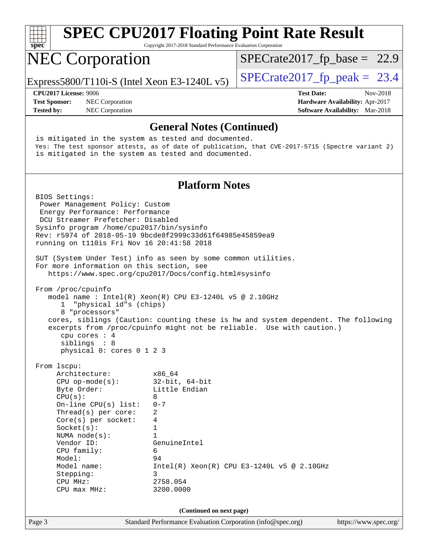| <b>SPEC CPU2017 Floating Point Rate Result</b><br>$Spec^*$<br>Copyright 2017-2018 Standard Performance Evaluation Corporation                                                                                                                                                                                                                                                                                                                             |                                                                                                                                              |                                                                                                                                                             |  |  |
|-----------------------------------------------------------------------------------------------------------------------------------------------------------------------------------------------------------------------------------------------------------------------------------------------------------------------------------------------------------------------------------------------------------------------------------------------------------|----------------------------------------------------------------------------------------------------------------------------------------------|-------------------------------------------------------------------------------------------------------------------------------------------------------------|--|--|
| <b>NEC Corporation</b>                                                                                                                                                                                                                                                                                                                                                                                                                                    |                                                                                                                                              | $SPECrate2017_fp\_base = 22.9$                                                                                                                              |  |  |
| Express5800/T110i-S (Intel Xeon E3-1240L v5)                                                                                                                                                                                                                                                                                                                                                                                                              |                                                                                                                                              | $SPECrate2017_fp\_peak = 23.4$                                                                                                                              |  |  |
| <b>CPU2017 License: 9006</b><br><b>Test Sponsor:</b><br>NEC Corporation<br>NEC Corporation<br><b>Tested by:</b>                                                                                                                                                                                                                                                                                                                                           |                                                                                                                                              | <b>Test Date:</b><br>Nov-2018<br>Hardware Availability: Apr-2017<br><b>Software Availability:</b> Mar-2018                                                  |  |  |
|                                                                                                                                                                                                                                                                                                                                                                                                                                                           | <b>General Notes (Continued)</b>                                                                                                             |                                                                                                                                                             |  |  |
| is mitigated in the system as tested and documented.<br>is mitigated in the system as tested and documented.                                                                                                                                                                                                                                                                                                                                              |                                                                                                                                              | Yes: The test sponsor attests, as of date of publication, that CVE-2017-5715 (Spectre variant 2)                                                            |  |  |
|                                                                                                                                                                                                                                                                                                                                                                                                                                                           | <b>Platform Notes</b>                                                                                                                        |                                                                                                                                                             |  |  |
| BIOS Settings:<br>Power Management Policy: Custom<br>Energy Performance: Performance<br>DCU Streamer Prefetcher: Disabled<br>Sysinfo program /home/cpu2017/bin/sysinfo<br>Rev: r5974 of 2018-05-19 9bcde8f2999c33d61f64985e45859ea9<br>running on t110is Fri Nov 16 20:41:58 2018<br>SUT (System Under Test) info as seen by some common utilities.<br>For more information on this section, see<br>https://www.spec.org/cpu2017/Docs/config.html#sysinfo |                                                                                                                                              |                                                                                                                                                             |  |  |
| From /proc/cpuinfo<br>model name : Intel(R) Xeon(R) CPU E3-1240L v5 @ 2.10GHz<br>"physical id"s (chips)<br>1<br>8 "processors"<br>cpu cores : 4<br>siblings : 8<br>physical 0: cores 0 1 2 3                                                                                                                                                                                                                                                              |                                                                                                                                              | cores, siblings (Caution: counting these is hw and system dependent. The following<br>excerpts from /proc/cpuinfo might not be reliable. Use with caution.) |  |  |
| From 1scpu:<br>Architecture:<br>$CPU$ op-mode( $s$ ):<br>Byte Order:<br>CPU(s):<br>On-line $CPU(s)$ list:<br>Thread(s) per core:<br>$Core(s)$ per socket:<br>Socket(s):<br>NUMA $node(s)$ :<br>Vendor ID:<br>CPU family:<br>Model:<br>Model name:<br>Stepping:<br>CPU MHz:<br>CPU max MHz:                                                                                                                                                                | x86 64<br>$32$ -bit, $64$ -bit<br>Little Endian<br>8<br>$0 - 7$<br>2<br>4<br>1<br>1<br>GenuineIntel<br>6<br>94<br>3<br>2758.054<br>3200.0000 | $Intel(R) Xeon(R) CPU E3-1240L v5 @ 2.10GHz$                                                                                                                |  |  |
| (Continued on next page)                                                                                                                                                                                                                                                                                                                                                                                                                                  |                                                                                                                                              |                                                                                                                                                             |  |  |
| Page 3                                                                                                                                                                                                                                                                                                                                                                                                                                                    | Standard Performance Evaluation Corporation (info@spec.org)                                                                                  | https://www.spec.org/                                                                                                                                       |  |  |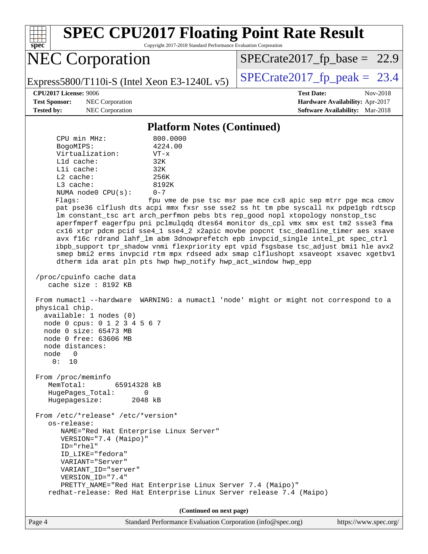| <b>SPEC CPU2017 Floating Point Rate Result</b><br>Copyright 2017-2018 Standard Performance Evaluation Corporation<br>$spec^*$                                                                                                                                                                                                                                                                                                                                                                                                                                                                                                                                                                                                                                                                                                                                                                                                                                                                                                                                                                                                                                                                                                                                                                                                                                                                                                                                                                                                                                                                                                                                                                            |                                                                                                            |
|----------------------------------------------------------------------------------------------------------------------------------------------------------------------------------------------------------------------------------------------------------------------------------------------------------------------------------------------------------------------------------------------------------------------------------------------------------------------------------------------------------------------------------------------------------------------------------------------------------------------------------------------------------------------------------------------------------------------------------------------------------------------------------------------------------------------------------------------------------------------------------------------------------------------------------------------------------------------------------------------------------------------------------------------------------------------------------------------------------------------------------------------------------------------------------------------------------------------------------------------------------------------------------------------------------------------------------------------------------------------------------------------------------------------------------------------------------------------------------------------------------------------------------------------------------------------------------------------------------------------------------------------------------------------------------------------------------|------------------------------------------------------------------------------------------------------------|
| <b>NEC Corporation</b>                                                                                                                                                                                                                                                                                                                                                                                                                                                                                                                                                                                                                                                                                                                                                                                                                                                                                                                                                                                                                                                                                                                                                                                                                                                                                                                                                                                                                                                                                                                                                                                                                                                                                   | $SPECrate2017_fp\_base = 22.9$                                                                             |
| Express5800/T110i-S (Intel Xeon E3-1240L $v5$ )                                                                                                                                                                                                                                                                                                                                                                                                                                                                                                                                                                                                                                                                                                                                                                                                                                                                                                                                                                                                                                                                                                                                                                                                                                                                                                                                                                                                                                                                                                                                                                                                                                                          | $SPECrate2017_fp\_peak = 23.4$                                                                             |
| <b>CPU2017 License: 9006</b><br><b>Test Sponsor:</b><br>NEC Corporation<br>NEC Corporation<br><b>Tested by:</b>                                                                                                                                                                                                                                                                                                                                                                                                                                                                                                                                                                                                                                                                                                                                                                                                                                                                                                                                                                                                                                                                                                                                                                                                                                                                                                                                                                                                                                                                                                                                                                                          | <b>Test Date:</b><br>Nov-2018<br>Hardware Availability: Apr-2017<br><b>Software Availability:</b> Mar-2018 |
| <b>Platform Notes (Continued)</b>                                                                                                                                                                                                                                                                                                                                                                                                                                                                                                                                                                                                                                                                                                                                                                                                                                                                                                                                                                                                                                                                                                                                                                                                                                                                                                                                                                                                                                                                                                                                                                                                                                                                        |                                                                                                            |
| CPU min MHz:<br>800.0000<br>4224.00<br>BogoMIPS:<br>Virtualization:<br>$VT - x$<br>$L1d$ cache:<br>32K<br>Lli cache:<br>32K<br>L2 cache:<br>256K<br>L3 cache:<br>8192K<br>$0 - 7$<br>NUMA node0 CPU(s):<br>Flags:<br>pat pse36 clflush dts acpi mmx fxsr sse sse2 ss ht tm pbe syscall nx pdpelgb rdtscp<br>lm constant_tsc art arch_perfmon pebs bts rep_good nopl xtopology nonstop_tsc<br>aperfmperf eagerfpu pni pclmulqdq dtes64 monitor ds_cpl vmx smx est tm2 ssse3 fma<br>cx16 xtpr pdcm pcid sse4_1 sse4_2 x2apic movbe popcnt tsc_deadline_timer aes xsave<br>avx f16c rdrand lahf_lm abm 3dnowprefetch epb invpcid_single intel_pt spec_ctrl<br>ibpb_support tpr_shadow vnmi flexpriority ept vpid fsgsbase tsc_adjust bmil hle avx2<br>smep bmi2 erms invpcid rtm mpx rdseed adx smap clflushopt xsaveopt xsavec xgetbvl<br>dtherm ida arat pln pts hwp hwp_notify hwp_act_window hwp_epp<br>/proc/cpuinfo cache data<br>cache size : 8192 KB<br>From numactl --hardware WARNING: a numactl 'node' might or might not correspond to a<br>physical chip.<br>available: 1 nodes (0)<br>node 0 cpus: 0 1 2 3 4 5 6 7<br>node 0 size: 65473 MB<br>node 0 free: 63606 MB<br>node distances:<br>node<br>$\Omega$<br>0: 10<br>From /proc/meminfo<br>MemTotal:<br>65914328 kB<br>HugePages_Total:<br>$\Omega$<br>Hugepagesize: 2048 kB<br>From /etc/*release* /etc/*version*<br>os-release:<br>NAME="Red Hat Enterprise Linux Server"<br>VERSION="7.4 (Maipo)"<br>$ID="rhe1"$<br>ID LIKE="fedora"<br>VARIANT="Server"<br>VARIANT_ID="server"<br>VERSION_ID="7.4"<br>PRETTY_NAME="Red Hat Enterprise Linux Server 7.4 (Maipo)"<br>redhat-release: Red Hat Enterprise Linux Server release 7.4 (Maipo) | fpu vme de pse tsc msr pae mce cx8 apic sep mtrr pge mca cmov                                              |
| (Continued on next page)                                                                                                                                                                                                                                                                                                                                                                                                                                                                                                                                                                                                                                                                                                                                                                                                                                                                                                                                                                                                                                                                                                                                                                                                                                                                                                                                                                                                                                                                                                                                                                                                                                                                                 |                                                                                                            |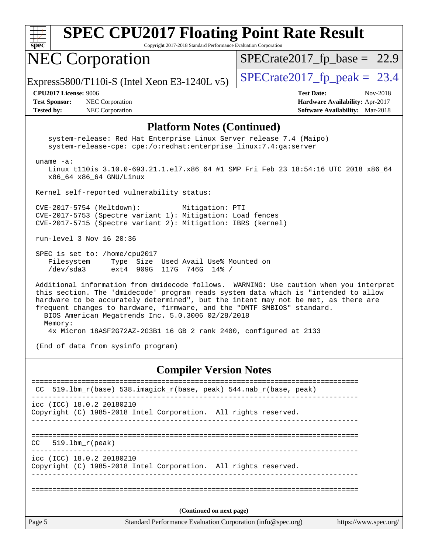| <b>SPEC CPU2017 Floating Point Rate Result</b>                                                                                          |                                                                 |                                        |  |  |
|-----------------------------------------------------------------------------------------------------------------------------------------|-----------------------------------------------------------------|----------------------------------------|--|--|
| $spec^*$                                                                                                                                | Copyright 2017-2018 Standard Performance Evaluation Corporation |                                        |  |  |
| <b>NEC Corporation</b>                                                                                                                  |                                                                 | $SPECrate2017_fp\_base = 22.9$         |  |  |
|                                                                                                                                         | Express5800/T110i-S (Intel Xeon E3-1240L v5)                    | $SPECrate2017_fp\_peak = 23.4$         |  |  |
| CPU2017 License: 9006                                                                                                                   |                                                                 | <b>Test Date:</b><br>Nov-2018          |  |  |
| <b>Test Sponsor:</b>                                                                                                                    | <b>NEC</b> Corporation                                          | <b>Hardware Availability: Apr-2017</b> |  |  |
| <b>Tested by:</b>                                                                                                                       | <b>NEC</b> Corporation                                          | <b>Software Availability:</b> Mar-2018 |  |  |
| <b>Platform Notes (Continued)</b>                                                                                                       |                                                                 |                                        |  |  |
| system-release: Red Hat Enterprise Linux Server release 7.4 (Maipo)<br>system-release-cpe: cpe:/o:redhat:enterprise_linux:7.4:ga:server |                                                                 |                                        |  |  |
| $uname -a$ :<br>Linux t110is 3.10.0-693.21.1.el7.x86_64 #1 SMP Fri Feb 23 18:54:16 UTC 2018 x86_64<br>x86 64 x86 64 GNU/Linux           |                                                                 |                                        |  |  |
| Kernel self-reported vulnerability status:                                                                                              |                                                                 |                                        |  |  |

 CVE-2017-5754 (Meltdown): Mitigation: PTI CVE-2017-5753 (Spectre variant 1): Mitigation: Load fences CVE-2017-5715 (Spectre variant 2): Mitigation: IBRS (kernel)

run-level 3 Nov 16 20:36

 SPEC is set to: /home/cpu2017 Filesystem Type Size Used Avail Use% Mounted on /dev/sda3 ext4 909G 117G 746G 14% /

 Additional information from dmidecode follows. WARNING: Use caution when you interpret this section. The 'dmidecode' program reads system data which is "intended to allow hardware to be accurately determined", but the intent may not be met, as there are frequent changes to hardware, firmware, and the "DMTF SMBIOS" standard. BIOS American Megatrends Inc. 5.0.3006 02/28/2018 Memory:

4x Micron 18ASF2G72AZ-2G3B1 16 GB 2 rank 2400, configured at 2133

(End of data from sysinfo program)

### **[Compiler Version Notes](http://www.spec.org/auto/cpu2017/Docs/result-fields.html#CompilerVersionNotes)**

|        | CC 519.1bm_r(base) 538.imagick_r(base, peak) 544.nab_r(base, peak)                           |
|--------|----------------------------------------------------------------------------------------------|
|        | icc (ICC) 18.0.2 20180210<br>Copyright (C) 1985-2018 Intel Corporation. All rights reserved. |
| CC.    | 519.1bm r(peak)                                                                              |
|        | icc (ICC) 18.0.2 20180210<br>Copyright (C) 1985-2018 Intel Corporation. All rights reserved. |
|        |                                                                                              |
|        | (Continued on next page)                                                                     |
| Page 5 | Standard Performance Evaluation Corporation (info@spec.org)<br>https://www.spec.org/         |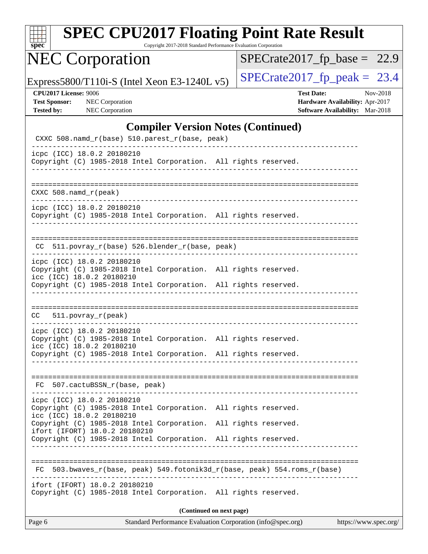| SI<br>DС<br>Ľ |  |  |  |  |  |
|---------------|--|--|--|--|--|

Copyright 2017-2018 Standard Performance Evaluation Corporation

## NEC Corporation

 $SPECrate2017_fp\_base = 22.9$ 

Express5800/T110i-S (Intel Xeon E3-1240L v5) [SPECrate2017\\_fp\\_peak =](http://www.spec.org/auto/cpu2017/Docs/result-fields.html#SPECrate2017fppeak)  $23.4$ 

| <b>CPU2017 License: 9006</b> |  |
|------------------------------|--|
|                              |  |

**[CPU2017 License:](http://www.spec.org/auto/cpu2017/Docs/result-fields.html#CPU2017License)** 9006 **[Test Date:](http://www.spec.org/auto/cpu2017/Docs/result-fields.html#TestDate)** Nov-2018 **[Test Sponsor:](http://www.spec.org/auto/cpu2017/Docs/result-fields.html#TestSponsor)** NEC Corporation **[Hardware Availability:](http://www.spec.org/auto/cpu2017/Docs/result-fields.html#HardwareAvailability)** Apr-2017 **[Tested by:](http://www.spec.org/auto/cpu2017/Docs/result-fields.html#Testedby)** NEC Corporation **[Software Availability:](http://www.spec.org/auto/cpu2017/Docs/result-fields.html#SoftwareAvailability)** Mar-2018

### **[Compiler Version Notes \(Continued\)](http://www.spec.org/auto/cpu2017/Docs/result-fields.html#CompilerVersionNotes)**

| CXXC 508.namd_r(base) 510.parest_r(base, peak)                                                                                     |                                                                                      |
|------------------------------------------------------------------------------------------------------------------------------------|--------------------------------------------------------------------------------------|
| icpc (ICC) 18.0.2 20180210<br>Copyright (C) 1985-2018 Intel Corporation. All rights reserved.                                      |                                                                                      |
| $CXXC 508.namd_r (peak)$                                                                                                           |                                                                                      |
|                                                                                                                                    |                                                                                      |
| icpc (ICC) 18.0.2 20180210<br>Copyright (C) 1985-2018 Intel Corporation. All rights reserved.<br>_________________________________ |                                                                                      |
| CC 511.povray_r(base) 526.blender_r(base, peak)                                                                                    |                                                                                      |
| icpc (ICC) 18.0.2 20180210                                                                                                         |                                                                                      |
| Copyright (C) 1985-2018 Intel Corporation. All rights reserved.<br>icc (ICC) 18.0.2 20180210                                       |                                                                                      |
| Copyright (C) 1985-2018 Intel Corporation. All rights reserved.                                                                    |                                                                                      |
|                                                                                                                                    |                                                                                      |
| $CC = 511. povray_r (peak)$                                                                                                        |                                                                                      |
| icpc (ICC) 18.0.2 20180210<br>Copyright (C) 1985-2018 Intel Corporation. All rights reserved.<br>icc (ICC) 18.0.2 20180210         |                                                                                      |
| Copyright (C) 1985-2018 Intel Corporation. All rights reserved.<br>______________________________                                  |                                                                                      |
|                                                                                                                                    |                                                                                      |
| FC 507.cactuBSSN_r(base, peak)                                                                                                     |                                                                                      |
| icpc (ICC) 18.0.2 20180210<br>Copyright (C) 1985-2018 Intel Corporation. All rights reserved.                                      |                                                                                      |
| icc (ICC) 18.0.2 20180210<br>Copyright (C) 1985-2018 Intel Corporation.                                                            | All rights reserved.                                                                 |
| ifort (IFORT) 18.0.2 20180210<br>Copyright (C) 1985-2018 Intel Corporation.                                                        | All rights reserved.                                                                 |
|                                                                                                                                    |                                                                                      |
| 503.bwaves_r(base, peak) 549.fotonik3d_r(base, peak) 554.roms_r(base)<br>FC                                                        |                                                                                      |
| ifort (IFORT) 18.0.2 20180210                                                                                                      |                                                                                      |
| Copyright (C) 1985-2018 Intel Corporation. All rights reserved.                                                                    |                                                                                      |
|                                                                                                                                    | (Continued on next page)                                                             |
| Page 6                                                                                                                             | Standard Performance Evaluation Corporation (info@spec.org)<br>https://www.spec.org/ |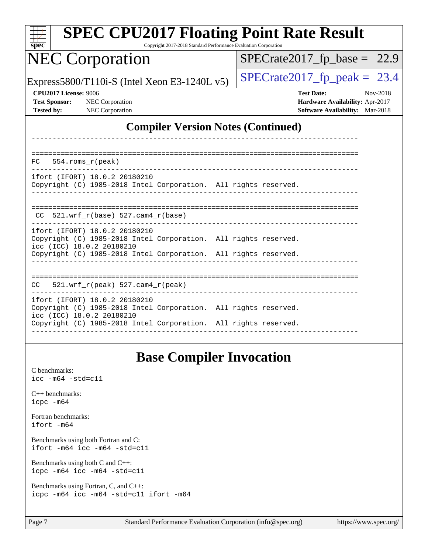| <b>SPEC CPU2017 Floating Point Rate Result</b><br>Copyright 2017-2018 Standard Performance Evaluation Corporation<br>spec                                                                        |                                                                                                     |  |  |  |
|--------------------------------------------------------------------------------------------------------------------------------------------------------------------------------------------------|-----------------------------------------------------------------------------------------------------|--|--|--|
| <b>NEC Corporation</b>                                                                                                                                                                           | $SPECrate2017_fp\_base = 22.9$                                                                      |  |  |  |
| Express5800/T110i-S (Intel Xeon E3-1240L $v5$ )                                                                                                                                                  | $SPECrate2017_fp\_peak = 23.4$                                                                      |  |  |  |
| CPU2017 License: 9006<br><b>Test Sponsor:</b><br>NEC Corporation<br>NEC Corporation<br><b>Tested by:</b>                                                                                         | Nov-2018<br><b>Test Date:</b><br>Hardware Availability: Apr-2017<br>Software Availability: Mar-2018 |  |  |  |
| <b>Compiler Version Notes (Continued)</b>                                                                                                                                                        |                                                                                                     |  |  |  |
| $554.$ roms $r(\text{peak})$<br>FC.<br>ifort (IFORT) 18.0.2 20180210<br>Copyright (C) 1985-2018 Intel Corporation. All rights reserved.                                                          |                                                                                                     |  |  |  |
| $CC$ 521.wrf_r(base) 527.cam4_r(base)                                                                                                                                                            |                                                                                                     |  |  |  |
| ifort (IFORT) 18.0.2 20180210<br>Copyright (C) 1985-2018 Intel Corporation. All rights reserved.<br>icc (ICC) 18.0.2 20180210<br>Copyright (C) 1985-2018 Intel Corporation. All rights reserved. |                                                                                                     |  |  |  |
| 521.wrf_r(peak) 527.cam4_r(peak)<br>CC.                                                                                                                                                          |                                                                                                     |  |  |  |
| ifort (IFORT) 18.0.2 20180210<br>Copyright (C) 1985-2018 Intel Corporation. All rights reserved.<br>icc (ICC) 18.0.2 20180210<br>Copyright (C) 1985-2018 Intel Corporation. All rights reserved. |                                                                                                     |  |  |  |
| <b>Base Compiler Invocation</b>                                                                                                                                                                  |                                                                                                     |  |  |  |

### [C benchmarks](http://www.spec.org/auto/cpu2017/Docs/result-fields.html#Cbenchmarks): [icc -m64 -std=c11](http://www.spec.org/cpu2017/results/res2018q4/cpu2017-20181126-09859.flags.html#user_CCbase_intel_icc_64bit_c11_33ee0cdaae7deeeab2a9725423ba97205ce30f63b9926c2519791662299b76a0318f32ddfffdc46587804de3178b4f9328c46fa7c2b0cd779d7a61945c91cd35) [C++ benchmarks:](http://www.spec.org/auto/cpu2017/Docs/result-fields.html#CXXbenchmarks) [icpc -m64](http://www.spec.org/cpu2017/results/res2018q4/cpu2017-20181126-09859.flags.html#user_CXXbase_intel_icpc_64bit_4ecb2543ae3f1412ef961e0650ca070fec7b7afdcd6ed48761b84423119d1bf6bdf5cad15b44d48e7256388bc77273b966e5eb805aefd121eb22e9299b2ec9d9) [Fortran benchmarks](http://www.spec.org/auto/cpu2017/Docs/result-fields.html#Fortranbenchmarks): [ifort -m64](http://www.spec.org/cpu2017/results/res2018q4/cpu2017-20181126-09859.flags.html#user_FCbase_intel_ifort_64bit_24f2bb282fbaeffd6157abe4f878425411749daecae9a33200eee2bee2fe76f3b89351d69a8130dd5949958ce389cf37ff59a95e7a40d588e8d3a57e0c3fd751) [Benchmarks using both Fortran and C](http://www.spec.org/auto/cpu2017/Docs/result-fields.html#BenchmarksusingbothFortranandC): [ifort -m64](http://www.spec.org/cpu2017/results/res2018q4/cpu2017-20181126-09859.flags.html#user_CC_FCbase_intel_ifort_64bit_24f2bb282fbaeffd6157abe4f878425411749daecae9a33200eee2bee2fe76f3b89351d69a8130dd5949958ce389cf37ff59a95e7a40d588e8d3a57e0c3fd751) [icc -m64 -std=c11](http://www.spec.org/cpu2017/results/res2018q4/cpu2017-20181126-09859.flags.html#user_CC_FCbase_intel_icc_64bit_c11_33ee0cdaae7deeeab2a9725423ba97205ce30f63b9926c2519791662299b76a0318f32ddfffdc46587804de3178b4f9328c46fa7c2b0cd779d7a61945c91cd35) [Benchmarks using both C and C++](http://www.spec.org/auto/cpu2017/Docs/result-fields.html#BenchmarksusingbothCandCXX): [icpc -m64](http://www.spec.org/cpu2017/results/res2018q4/cpu2017-20181126-09859.flags.html#user_CC_CXXbase_intel_icpc_64bit_4ecb2543ae3f1412ef961e0650ca070fec7b7afdcd6ed48761b84423119d1bf6bdf5cad15b44d48e7256388bc77273b966e5eb805aefd121eb22e9299b2ec9d9) [icc -m64 -std=c11](http://www.spec.org/cpu2017/results/res2018q4/cpu2017-20181126-09859.flags.html#user_CC_CXXbase_intel_icc_64bit_c11_33ee0cdaae7deeeab2a9725423ba97205ce30f63b9926c2519791662299b76a0318f32ddfffdc46587804de3178b4f9328c46fa7c2b0cd779d7a61945c91cd35) [Benchmarks using Fortran, C, and C++:](http://www.spec.org/auto/cpu2017/Docs/result-fields.html#BenchmarksusingFortranCandCXX) [icpc -m64](http://www.spec.org/cpu2017/results/res2018q4/cpu2017-20181126-09859.flags.html#user_CC_CXX_FCbase_intel_icpc_64bit_4ecb2543ae3f1412ef961e0650ca070fec7b7afdcd6ed48761b84423119d1bf6bdf5cad15b44d48e7256388bc77273b966e5eb805aefd121eb22e9299b2ec9d9) [icc -m64 -std=c11](http://www.spec.org/cpu2017/results/res2018q4/cpu2017-20181126-09859.flags.html#user_CC_CXX_FCbase_intel_icc_64bit_c11_33ee0cdaae7deeeab2a9725423ba97205ce30f63b9926c2519791662299b76a0318f32ddfffdc46587804de3178b4f9328c46fa7c2b0cd779d7a61945c91cd35) [ifort -m64](http://www.spec.org/cpu2017/results/res2018q4/cpu2017-20181126-09859.flags.html#user_CC_CXX_FCbase_intel_ifort_64bit_24f2bb282fbaeffd6157abe4f878425411749daecae9a33200eee2bee2fe76f3b89351d69a8130dd5949958ce389cf37ff59a95e7a40d588e8d3a57e0c3fd751)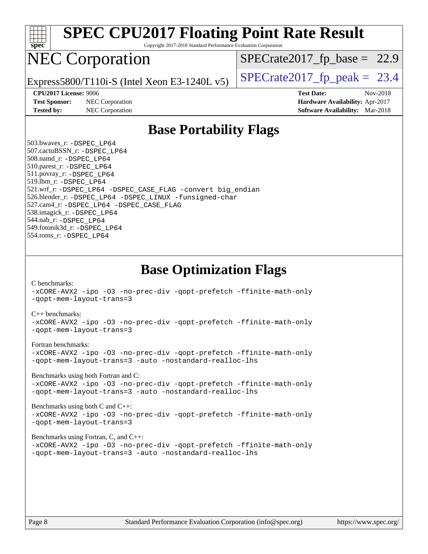

Copyright 2017-2018 Standard Performance Evaluation Corporation

## NEC Corporation

 $SPECTate2017_fp\_base = 22.9$ 

Express5800/T110i-S (Intel Xeon E3-1240L v5)  $\left|$  [SPECrate2017\\_fp\\_peak =](http://www.spec.org/auto/cpu2017/Docs/result-fields.html#SPECrate2017fppeak) 23.4

**[Test Sponsor:](http://www.spec.org/auto/cpu2017/Docs/result-fields.html#TestSponsor)** NEC Corporation **[Hardware Availability:](http://www.spec.org/auto/cpu2017/Docs/result-fields.html#HardwareAvailability)** Apr-2017

**[CPU2017 License:](http://www.spec.org/auto/cpu2017/Docs/result-fields.html#CPU2017License)** 9006 **[Test Date:](http://www.spec.org/auto/cpu2017/Docs/result-fields.html#TestDate)** Nov-2018 **[Tested by:](http://www.spec.org/auto/cpu2017/Docs/result-fields.html#Testedby)** NEC Corporation **[Software Availability:](http://www.spec.org/auto/cpu2017/Docs/result-fields.html#SoftwareAvailability)** Mar-2018

### **[Base Portability Flags](http://www.spec.org/auto/cpu2017/Docs/result-fields.html#BasePortabilityFlags)**

 503.bwaves\_r: [-DSPEC\\_LP64](http://www.spec.org/cpu2017/results/res2018q4/cpu2017-20181126-09859.flags.html#suite_basePORTABILITY503_bwaves_r_DSPEC_LP64) 507.cactuBSSN\_r: [-DSPEC\\_LP64](http://www.spec.org/cpu2017/results/res2018q4/cpu2017-20181126-09859.flags.html#suite_basePORTABILITY507_cactuBSSN_r_DSPEC_LP64) 508.namd\_r: [-DSPEC\\_LP64](http://www.spec.org/cpu2017/results/res2018q4/cpu2017-20181126-09859.flags.html#suite_basePORTABILITY508_namd_r_DSPEC_LP64) 510.parest\_r: [-DSPEC\\_LP64](http://www.spec.org/cpu2017/results/res2018q4/cpu2017-20181126-09859.flags.html#suite_basePORTABILITY510_parest_r_DSPEC_LP64) 511.povray\_r: [-DSPEC\\_LP64](http://www.spec.org/cpu2017/results/res2018q4/cpu2017-20181126-09859.flags.html#suite_basePORTABILITY511_povray_r_DSPEC_LP64) 519.lbm\_r: [-DSPEC\\_LP64](http://www.spec.org/cpu2017/results/res2018q4/cpu2017-20181126-09859.flags.html#suite_basePORTABILITY519_lbm_r_DSPEC_LP64) 521.wrf\_r: [-DSPEC\\_LP64](http://www.spec.org/cpu2017/results/res2018q4/cpu2017-20181126-09859.flags.html#suite_basePORTABILITY521_wrf_r_DSPEC_LP64) [-DSPEC\\_CASE\\_FLAG](http://www.spec.org/cpu2017/results/res2018q4/cpu2017-20181126-09859.flags.html#b521.wrf_r_baseCPORTABILITY_DSPEC_CASE_FLAG) [-convert big\\_endian](http://www.spec.org/cpu2017/results/res2018q4/cpu2017-20181126-09859.flags.html#user_baseFPORTABILITY521_wrf_r_convert_big_endian_c3194028bc08c63ac5d04de18c48ce6d347e4e562e8892b8bdbdc0214820426deb8554edfa529a3fb25a586e65a3d812c835984020483e7e73212c4d31a38223) 526.blender\_r: [-DSPEC\\_LP64](http://www.spec.org/cpu2017/results/res2018q4/cpu2017-20181126-09859.flags.html#suite_basePORTABILITY526_blender_r_DSPEC_LP64) [-DSPEC\\_LINUX](http://www.spec.org/cpu2017/results/res2018q4/cpu2017-20181126-09859.flags.html#b526.blender_r_baseCPORTABILITY_DSPEC_LINUX) [-funsigned-char](http://www.spec.org/cpu2017/results/res2018q4/cpu2017-20181126-09859.flags.html#user_baseCPORTABILITY526_blender_r_force_uchar_40c60f00ab013830e2dd6774aeded3ff59883ba5a1fc5fc14077f794d777847726e2a5858cbc7672e36e1b067e7e5c1d9a74f7176df07886a243d7cc18edfe67) 527.cam4\_r: [-DSPEC\\_LP64](http://www.spec.org/cpu2017/results/res2018q4/cpu2017-20181126-09859.flags.html#suite_basePORTABILITY527_cam4_r_DSPEC_LP64) [-DSPEC\\_CASE\\_FLAG](http://www.spec.org/cpu2017/results/res2018q4/cpu2017-20181126-09859.flags.html#b527.cam4_r_baseCPORTABILITY_DSPEC_CASE_FLAG) 538.imagick\_r: [-DSPEC\\_LP64](http://www.spec.org/cpu2017/results/res2018q4/cpu2017-20181126-09859.flags.html#suite_basePORTABILITY538_imagick_r_DSPEC_LP64) 544.nab\_r: [-DSPEC\\_LP64](http://www.spec.org/cpu2017/results/res2018q4/cpu2017-20181126-09859.flags.html#suite_basePORTABILITY544_nab_r_DSPEC_LP64) 549.fotonik3d\_r: [-DSPEC\\_LP64](http://www.spec.org/cpu2017/results/res2018q4/cpu2017-20181126-09859.flags.html#suite_basePORTABILITY549_fotonik3d_r_DSPEC_LP64) 554.roms\_r: [-DSPEC\\_LP64](http://www.spec.org/cpu2017/results/res2018q4/cpu2017-20181126-09859.flags.html#suite_basePORTABILITY554_roms_r_DSPEC_LP64)

**[Base Optimization Flags](http://www.spec.org/auto/cpu2017/Docs/result-fields.html#BaseOptimizationFlags)**

[C benchmarks](http://www.spec.org/auto/cpu2017/Docs/result-fields.html#Cbenchmarks):

[-xCORE-AVX2](http://www.spec.org/cpu2017/results/res2018q4/cpu2017-20181126-09859.flags.html#user_CCbase_f-xCORE-AVX2) [-ipo](http://www.spec.org/cpu2017/results/res2018q4/cpu2017-20181126-09859.flags.html#user_CCbase_f-ipo) [-O3](http://www.spec.org/cpu2017/results/res2018q4/cpu2017-20181126-09859.flags.html#user_CCbase_f-O3) [-no-prec-div](http://www.spec.org/cpu2017/results/res2018q4/cpu2017-20181126-09859.flags.html#user_CCbase_f-no-prec-div) [-qopt-prefetch](http://www.spec.org/cpu2017/results/res2018q4/cpu2017-20181126-09859.flags.html#user_CCbase_f-qopt-prefetch) [-ffinite-math-only](http://www.spec.org/cpu2017/results/res2018q4/cpu2017-20181126-09859.flags.html#user_CCbase_f_finite_math_only_cb91587bd2077682c4b38af759c288ed7c732db004271a9512da14a4f8007909a5f1427ecbf1a0fb78ff2a814402c6114ac565ca162485bbcae155b5e4258871) [-qopt-mem-layout-trans=3](http://www.spec.org/cpu2017/results/res2018q4/cpu2017-20181126-09859.flags.html#user_CCbase_f-qopt-mem-layout-trans_de80db37974c74b1f0e20d883f0b675c88c3b01e9d123adea9b28688d64333345fb62bc4a798493513fdb68f60282f9a726aa07f478b2f7113531aecce732043)

#### [C++ benchmarks:](http://www.spec.org/auto/cpu2017/Docs/result-fields.html#CXXbenchmarks)

[-xCORE-AVX2](http://www.spec.org/cpu2017/results/res2018q4/cpu2017-20181126-09859.flags.html#user_CXXbase_f-xCORE-AVX2) [-ipo](http://www.spec.org/cpu2017/results/res2018q4/cpu2017-20181126-09859.flags.html#user_CXXbase_f-ipo) [-O3](http://www.spec.org/cpu2017/results/res2018q4/cpu2017-20181126-09859.flags.html#user_CXXbase_f-O3) [-no-prec-div](http://www.spec.org/cpu2017/results/res2018q4/cpu2017-20181126-09859.flags.html#user_CXXbase_f-no-prec-div) [-qopt-prefetch](http://www.spec.org/cpu2017/results/res2018q4/cpu2017-20181126-09859.flags.html#user_CXXbase_f-qopt-prefetch) [-ffinite-math-only](http://www.spec.org/cpu2017/results/res2018q4/cpu2017-20181126-09859.flags.html#user_CXXbase_f_finite_math_only_cb91587bd2077682c4b38af759c288ed7c732db004271a9512da14a4f8007909a5f1427ecbf1a0fb78ff2a814402c6114ac565ca162485bbcae155b5e4258871) [-qopt-mem-layout-trans=3](http://www.spec.org/cpu2017/results/res2018q4/cpu2017-20181126-09859.flags.html#user_CXXbase_f-qopt-mem-layout-trans_de80db37974c74b1f0e20d883f0b675c88c3b01e9d123adea9b28688d64333345fb62bc4a798493513fdb68f60282f9a726aa07f478b2f7113531aecce732043)

#### [Fortran benchmarks](http://www.spec.org/auto/cpu2017/Docs/result-fields.html#Fortranbenchmarks):

[-xCORE-AVX2](http://www.spec.org/cpu2017/results/res2018q4/cpu2017-20181126-09859.flags.html#user_FCbase_f-xCORE-AVX2) [-ipo](http://www.spec.org/cpu2017/results/res2018q4/cpu2017-20181126-09859.flags.html#user_FCbase_f-ipo) [-O3](http://www.spec.org/cpu2017/results/res2018q4/cpu2017-20181126-09859.flags.html#user_FCbase_f-O3) [-no-prec-div](http://www.spec.org/cpu2017/results/res2018q4/cpu2017-20181126-09859.flags.html#user_FCbase_f-no-prec-div) [-qopt-prefetch](http://www.spec.org/cpu2017/results/res2018q4/cpu2017-20181126-09859.flags.html#user_FCbase_f-qopt-prefetch) [-ffinite-math-only](http://www.spec.org/cpu2017/results/res2018q4/cpu2017-20181126-09859.flags.html#user_FCbase_f_finite_math_only_cb91587bd2077682c4b38af759c288ed7c732db004271a9512da14a4f8007909a5f1427ecbf1a0fb78ff2a814402c6114ac565ca162485bbcae155b5e4258871) [-qopt-mem-layout-trans=3](http://www.spec.org/cpu2017/results/res2018q4/cpu2017-20181126-09859.flags.html#user_FCbase_f-qopt-mem-layout-trans_de80db37974c74b1f0e20d883f0b675c88c3b01e9d123adea9b28688d64333345fb62bc4a798493513fdb68f60282f9a726aa07f478b2f7113531aecce732043) [-auto](http://www.spec.org/cpu2017/results/res2018q4/cpu2017-20181126-09859.flags.html#user_FCbase_f-auto) [-nostandard-realloc-lhs](http://www.spec.org/cpu2017/results/res2018q4/cpu2017-20181126-09859.flags.html#user_FCbase_f_2003_std_realloc_82b4557e90729c0f113870c07e44d33d6f5a304b4f63d4c15d2d0f1fab99f5daaed73bdb9275d9ae411527f28b936061aa8b9c8f2d63842963b95c9dd6426b8a)

[Benchmarks using both Fortran and C](http://www.spec.org/auto/cpu2017/Docs/result-fields.html#BenchmarksusingbothFortranandC):

[-xCORE-AVX2](http://www.spec.org/cpu2017/results/res2018q4/cpu2017-20181126-09859.flags.html#user_CC_FCbase_f-xCORE-AVX2) [-ipo](http://www.spec.org/cpu2017/results/res2018q4/cpu2017-20181126-09859.flags.html#user_CC_FCbase_f-ipo) [-O3](http://www.spec.org/cpu2017/results/res2018q4/cpu2017-20181126-09859.flags.html#user_CC_FCbase_f-O3) [-no-prec-div](http://www.spec.org/cpu2017/results/res2018q4/cpu2017-20181126-09859.flags.html#user_CC_FCbase_f-no-prec-div) [-qopt-prefetch](http://www.spec.org/cpu2017/results/res2018q4/cpu2017-20181126-09859.flags.html#user_CC_FCbase_f-qopt-prefetch) [-ffinite-math-only](http://www.spec.org/cpu2017/results/res2018q4/cpu2017-20181126-09859.flags.html#user_CC_FCbase_f_finite_math_only_cb91587bd2077682c4b38af759c288ed7c732db004271a9512da14a4f8007909a5f1427ecbf1a0fb78ff2a814402c6114ac565ca162485bbcae155b5e4258871) [-qopt-mem-layout-trans=3](http://www.spec.org/cpu2017/results/res2018q4/cpu2017-20181126-09859.flags.html#user_CC_FCbase_f-qopt-mem-layout-trans_de80db37974c74b1f0e20d883f0b675c88c3b01e9d123adea9b28688d64333345fb62bc4a798493513fdb68f60282f9a726aa07f478b2f7113531aecce732043) [-auto](http://www.spec.org/cpu2017/results/res2018q4/cpu2017-20181126-09859.flags.html#user_CC_FCbase_f-auto) [-nostandard-realloc-lhs](http://www.spec.org/cpu2017/results/res2018q4/cpu2017-20181126-09859.flags.html#user_CC_FCbase_f_2003_std_realloc_82b4557e90729c0f113870c07e44d33d6f5a304b4f63d4c15d2d0f1fab99f5daaed73bdb9275d9ae411527f28b936061aa8b9c8f2d63842963b95c9dd6426b8a)

[Benchmarks using both C and C++](http://www.spec.org/auto/cpu2017/Docs/result-fields.html#BenchmarksusingbothCandCXX): [-xCORE-AVX2](http://www.spec.org/cpu2017/results/res2018q4/cpu2017-20181126-09859.flags.html#user_CC_CXXbase_f-xCORE-AVX2) [-ipo](http://www.spec.org/cpu2017/results/res2018q4/cpu2017-20181126-09859.flags.html#user_CC_CXXbase_f-ipo) [-O3](http://www.spec.org/cpu2017/results/res2018q4/cpu2017-20181126-09859.flags.html#user_CC_CXXbase_f-O3) [-no-prec-div](http://www.spec.org/cpu2017/results/res2018q4/cpu2017-20181126-09859.flags.html#user_CC_CXXbase_f-no-prec-div) [-qopt-prefetch](http://www.spec.org/cpu2017/results/res2018q4/cpu2017-20181126-09859.flags.html#user_CC_CXXbase_f-qopt-prefetch) [-ffinite-math-only](http://www.spec.org/cpu2017/results/res2018q4/cpu2017-20181126-09859.flags.html#user_CC_CXXbase_f_finite_math_only_cb91587bd2077682c4b38af759c288ed7c732db004271a9512da14a4f8007909a5f1427ecbf1a0fb78ff2a814402c6114ac565ca162485bbcae155b5e4258871) [-qopt-mem-layout-trans=3](http://www.spec.org/cpu2017/results/res2018q4/cpu2017-20181126-09859.flags.html#user_CC_CXXbase_f-qopt-mem-layout-trans_de80db37974c74b1f0e20d883f0b675c88c3b01e9d123adea9b28688d64333345fb62bc4a798493513fdb68f60282f9a726aa07f478b2f7113531aecce732043)

### [Benchmarks using Fortran, C, and C++:](http://www.spec.org/auto/cpu2017/Docs/result-fields.html#BenchmarksusingFortranCandCXX)

[-xCORE-AVX2](http://www.spec.org/cpu2017/results/res2018q4/cpu2017-20181126-09859.flags.html#user_CC_CXX_FCbase_f-xCORE-AVX2) [-ipo](http://www.spec.org/cpu2017/results/res2018q4/cpu2017-20181126-09859.flags.html#user_CC_CXX_FCbase_f-ipo) [-O3](http://www.spec.org/cpu2017/results/res2018q4/cpu2017-20181126-09859.flags.html#user_CC_CXX_FCbase_f-O3) [-no-prec-div](http://www.spec.org/cpu2017/results/res2018q4/cpu2017-20181126-09859.flags.html#user_CC_CXX_FCbase_f-no-prec-div) [-qopt-prefetch](http://www.spec.org/cpu2017/results/res2018q4/cpu2017-20181126-09859.flags.html#user_CC_CXX_FCbase_f-qopt-prefetch) [-ffinite-math-only](http://www.spec.org/cpu2017/results/res2018q4/cpu2017-20181126-09859.flags.html#user_CC_CXX_FCbase_f_finite_math_only_cb91587bd2077682c4b38af759c288ed7c732db004271a9512da14a4f8007909a5f1427ecbf1a0fb78ff2a814402c6114ac565ca162485bbcae155b5e4258871) [-qopt-mem-layout-trans=3](http://www.spec.org/cpu2017/results/res2018q4/cpu2017-20181126-09859.flags.html#user_CC_CXX_FCbase_f-qopt-mem-layout-trans_de80db37974c74b1f0e20d883f0b675c88c3b01e9d123adea9b28688d64333345fb62bc4a798493513fdb68f60282f9a726aa07f478b2f7113531aecce732043) [-auto](http://www.spec.org/cpu2017/results/res2018q4/cpu2017-20181126-09859.flags.html#user_CC_CXX_FCbase_f-auto) [-nostandard-realloc-lhs](http://www.spec.org/cpu2017/results/res2018q4/cpu2017-20181126-09859.flags.html#user_CC_CXX_FCbase_f_2003_std_realloc_82b4557e90729c0f113870c07e44d33d6f5a304b4f63d4c15d2d0f1fab99f5daaed73bdb9275d9ae411527f28b936061aa8b9c8f2d63842963b95c9dd6426b8a)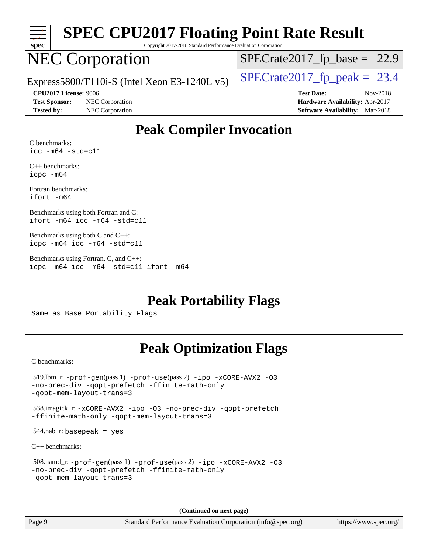| spe<br>U |  |  |  |  |  |
|----------|--|--|--|--|--|

Copyright 2017-2018 Standard Performance Evaluation Corporation

## NEC Corporation

 $SPECTate2017_fp\_base = 22.9$ 

Express5800/T110i-S (Intel Xeon E3-1240L v5)  $\left|$  [SPECrate2017\\_fp\\_peak =](http://www.spec.org/auto/cpu2017/Docs/result-fields.html#SPECrate2017fppeak) 23.4

**[CPU2017 License:](http://www.spec.org/auto/cpu2017/Docs/result-fields.html#CPU2017License)** 9006 **[Test Date:](http://www.spec.org/auto/cpu2017/Docs/result-fields.html#TestDate)** Nov-2018

**[Test Sponsor:](http://www.spec.org/auto/cpu2017/Docs/result-fields.html#TestSponsor)** NEC Corporation **[Hardware Availability:](http://www.spec.org/auto/cpu2017/Docs/result-fields.html#HardwareAvailability)** Apr-2017

**[Tested by:](http://www.spec.org/auto/cpu2017/Docs/result-fields.html#Testedby)** NEC Corporation **[Software Availability:](http://www.spec.org/auto/cpu2017/Docs/result-fields.html#SoftwareAvailability)** Mar-2018

### **[Peak Compiler Invocation](http://www.spec.org/auto/cpu2017/Docs/result-fields.html#PeakCompilerInvocation)**

[C benchmarks:](http://www.spec.org/auto/cpu2017/Docs/result-fields.html#Cbenchmarks) [icc -m64 -std=c11](http://www.spec.org/cpu2017/results/res2018q4/cpu2017-20181126-09859.flags.html#user_CCpeak_intel_icc_64bit_c11_33ee0cdaae7deeeab2a9725423ba97205ce30f63b9926c2519791662299b76a0318f32ddfffdc46587804de3178b4f9328c46fa7c2b0cd779d7a61945c91cd35)

[C++ benchmarks:](http://www.spec.org/auto/cpu2017/Docs/result-fields.html#CXXbenchmarks) [icpc -m64](http://www.spec.org/cpu2017/results/res2018q4/cpu2017-20181126-09859.flags.html#user_CXXpeak_intel_icpc_64bit_4ecb2543ae3f1412ef961e0650ca070fec7b7afdcd6ed48761b84423119d1bf6bdf5cad15b44d48e7256388bc77273b966e5eb805aefd121eb22e9299b2ec9d9)

[Fortran benchmarks](http://www.spec.org/auto/cpu2017/Docs/result-fields.html#Fortranbenchmarks): [ifort -m64](http://www.spec.org/cpu2017/results/res2018q4/cpu2017-20181126-09859.flags.html#user_FCpeak_intel_ifort_64bit_24f2bb282fbaeffd6157abe4f878425411749daecae9a33200eee2bee2fe76f3b89351d69a8130dd5949958ce389cf37ff59a95e7a40d588e8d3a57e0c3fd751)

[Benchmarks using both Fortran and C:](http://www.spec.org/auto/cpu2017/Docs/result-fields.html#BenchmarksusingbothFortranandC) [ifort -m64](http://www.spec.org/cpu2017/results/res2018q4/cpu2017-20181126-09859.flags.html#user_CC_FCpeak_intel_ifort_64bit_24f2bb282fbaeffd6157abe4f878425411749daecae9a33200eee2bee2fe76f3b89351d69a8130dd5949958ce389cf37ff59a95e7a40d588e8d3a57e0c3fd751) [icc -m64 -std=c11](http://www.spec.org/cpu2017/results/res2018q4/cpu2017-20181126-09859.flags.html#user_CC_FCpeak_intel_icc_64bit_c11_33ee0cdaae7deeeab2a9725423ba97205ce30f63b9926c2519791662299b76a0318f32ddfffdc46587804de3178b4f9328c46fa7c2b0cd779d7a61945c91cd35)

[Benchmarks using both C and C++](http://www.spec.org/auto/cpu2017/Docs/result-fields.html#BenchmarksusingbothCandCXX): [icpc -m64](http://www.spec.org/cpu2017/results/res2018q4/cpu2017-20181126-09859.flags.html#user_CC_CXXpeak_intel_icpc_64bit_4ecb2543ae3f1412ef961e0650ca070fec7b7afdcd6ed48761b84423119d1bf6bdf5cad15b44d48e7256388bc77273b966e5eb805aefd121eb22e9299b2ec9d9) [icc -m64 -std=c11](http://www.spec.org/cpu2017/results/res2018q4/cpu2017-20181126-09859.flags.html#user_CC_CXXpeak_intel_icc_64bit_c11_33ee0cdaae7deeeab2a9725423ba97205ce30f63b9926c2519791662299b76a0318f32ddfffdc46587804de3178b4f9328c46fa7c2b0cd779d7a61945c91cd35)

[Benchmarks using Fortran, C, and C++:](http://www.spec.org/auto/cpu2017/Docs/result-fields.html#BenchmarksusingFortranCandCXX) [icpc -m64](http://www.spec.org/cpu2017/results/res2018q4/cpu2017-20181126-09859.flags.html#user_CC_CXX_FCpeak_intel_icpc_64bit_4ecb2543ae3f1412ef961e0650ca070fec7b7afdcd6ed48761b84423119d1bf6bdf5cad15b44d48e7256388bc77273b966e5eb805aefd121eb22e9299b2ec9d9) [icc -m64 -std=c11](http://www.spec.org/cpu2017/results/res2018q4/cpu2017-20181126-09859.flags.html#user_CC_CXX_FCpeak_intel_icc_64bit_c11_33ee0cdaae7deeeab2a9725423ba97205ce30f63b9926c2519791662299b76a0318f32ddfffdc46587804de3178b4f9328c46fa7c2b0cd779d7a61945c91cd35) [ifort -m64](http://www.spec.org/cpu2017/results/res2018q4/cpu2017-20181126-09859.flags.html#user_CC_CXX_FCpeak_intel_ifort_64bit_24f2bb282fbaeffd6157abe4f878425411749daecae9a33200eee2bee2fe76f3b89351d69a8130dd5949958ce389cf37ff59a95e7a40d588e8d3a57e0c3fd751)

**[Peak Portability Flags](http://www.spec.org/auto/cpu2017/Docs/result-fields.html#PeakPortabilityFlags)**

Same as Base Portability Flags

### **[Peak Optimization Flags](http://www.spec.org/auto/cpu2017/Docs/result-fields.html#PeakOptimizationFlags)**

[C benchmarks](http://www.spec.org/auto/cpu2017/Docs/result-fields.html#Cbenchmarks):

```
 519.lbm_r: -prof-gen(pass 1) -prof-use(pass 2) -ipo -xCORE-AVX2 -O3
-no-prec-div -qopt-prefetch -ffinite-math-only
-qopt-mem-layout-trans=3
 538.imagick_r: -xCORE-AVX2 -ipo -O3 -no-prec-div -qopt-prefetch
-ffinite-math-only -qopt-mem-layout-trans=3
544.nab_r: basepeak = yes
C++ benchmarks: 
 508.namd_r: -prof-gen(pass 1) -prof-use(pass 2) -ipo -xCORE-AVX2 -O3
-no-prec-div -qopt-prefetch -ffinite-math-only
-qopt-mem-layout-trans=3
```
**(Continued on next page)**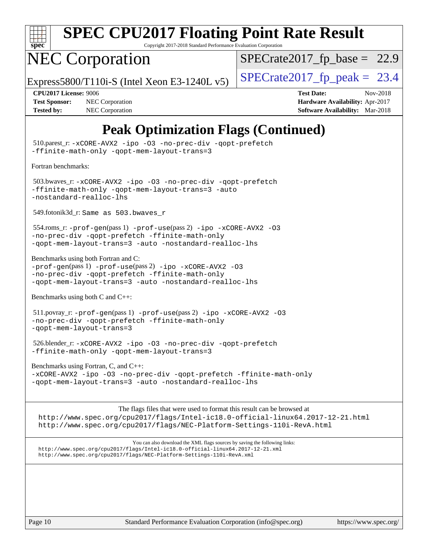

Copyright 2017-2018 Standard Performance Evaluation Corporation

## NEC Corporation

 $SPECTate2017_fp\_base = 22.9$ 

Express5800/T110i-S (Intel Xeon E3-1240L v5)  $\left|$  [SPECrate2017\\_fp\\_peak =](http://www.spec.org/auto/cpu2017/Docs/result-fields.html#SPECrate2017fppeak) 23.4

**[Tested by:](http://www.spec.org/auto/cpu2017/Docs/result-fields.html#Testedby)** NEC Corporation **[Software Availability:](http://www.spec.org/auto/cpu2017/Docs/result-fields.html#SoftwareAvailability)** Mar-2018

**[CPU2017 License:](http://www.spec.org/auto/cpu2017/Docs/result-fields.html#CPU2017License)** 9006 **[Test Date:](http://www.spec.org/auto/cpu2017/Docs/result-fields.html#TestDate)** Nov-2018 **[Test Sponsor:](http://www.spec.org/auto/cpu2017/Docs/result-fields.html#TestSponsor)** NEC Corporation **[Hardware Availability:](http://www.spec.org/auto/cpu2017/Docs/result-fields.html#HardwareAvailability)** Apr-2017

### **[Peak Optimization Flags \(Continued\)](http://www.spec.org/auto/cpu2017/Docs/result-fields.html#PeakOptimizationFlags)**

 510.parest\_r: [-xCORE-AVX2](http://www.spec.org/cpu2017/results/res2018q4/cpu2017-20181126-09859.flags.html#user_peakCXXOPTIMIZE510_parest_r_f-xCORE-AVX2) [-ipo](http://www.spec.org/cpu2017/results/res2018q4/cpu2017-20181126-09859.flags.html#user_peakCXXOPTIMIZE510_parest_r_f-ipo) [-O3](http://www.spec.org/cpu2017/results/res2018q4/cpu2017-20181126-09859.flags.html#user_peakCXXOPTIMIZE510_parest_r_f-O3) [-no-prec-div](http://www.spec.org/cpu2017/results/res2018q4/cpu2017-20181126-09859.flags.html#user_peakCXXOPTIMIZE510_parest_r_f-no-prec-div) [-qopt-prefetch](http://www.spec.org/cpu2017/results/res2018q4/cpu2017-20181126-09859.flags.html#user_peakCXXOPTIMIZE510_parest_r_f-qopt-prefetch) [-ffinite-math-only](http://www.spec.org/cpu2017/results/res2018q4/cpu2017-20181126-09859.flags.html#user_peakCXXOPTIMIZE510_parest_r_f_finite_math_only_cb91587bd2077682c4b38af759c288ed7c732db004271a9512da14a4f8007909a5f1427ecbf1a0fb78ff2a814402c6114ac565ca162485bbcae155b5e4258871) [-qopt-mem-layout-trans=3](http://www.spec.org/cpu2017/results/res2018q4/cpu2017-20181126-09859.flags.html#user_peakCXXOPTIMIZE510_parest_r_f-qopt-mem-layout-trans_de80db37974c74b1f0e20d883f0b675c88c3b01e9d123adea9b28688d64333345fb62bc4a798493513fdb68f60282f9a726aa07f478b2f7113531aecce732043) [Fortran benchmarks](http://www.spec.org/auto/cpu2017/Docs/result-fields.html#Fortranbenchmarks): 503.bwaves\_r: [-xCORE-AVX2](http://www.spec.org/cpu2017/results/res2018q4/cpu2017-20181126-09859.flags.html#user_peakFOPTIMIZE503_bwaves_r_f-xCORE-AVX2) [-ipo](http://www.spec.org/cpu2017/results/res2018q4/cpu2017-20181126-09859.flags.html#user_peakFOPTIMIZE503_bwaves_r_f-ipo) [-O3](http://www.spec.org/cpu2017/results/res2018q4/cpu2017-20181126-09859.flags.html#user_peakFOPTIMIZE503_bwaves_r_f-O3) [-no-prec-div](http://www.spec.org/cpu2017/results/res2018q4/cpu2017-20181126-09859.flags.html#user_peakFOPTIMIZE503_bwaves_r_f-no-prec-div) [-qopt-prefetch](http://www.spec.org/cpu2017/results/res2018q4/cpu2017-20181126-09859.flags.html#user_peakFOPTIMIZE503_bwaves_r_f-qopt-prefetch) [-ffinite-math-only](http://www.spec.org/cpu2017/results/res2018q4/cpu2017-20181126-09859.flags.html#user_peakFOPTIMIZE503_bwaves_r_f_finite_math_only_cb91587bd2077682c4b38af759c288ed7c732db004271a9512da14a4f8007909a5f1427ecbf1a0fb78ff2a814402c6114ac565ca162485bbcae155b5e4258871) [-qopt-mem-layout-trans=3](http://www.spec.org/cpu2017/results/res2018q4/cpu2017-20181126-09859.flags.html#user_peakFOPTIMIZE503_bwaves_r_f-qopt-mem-layout-trans_de80db37974c74b1f0e20d883f0b675c88c3b01e9d123adea9b28688d64333345fb62bc4a798493513fdb68f60282f9a726aa07f478b2f7113531aecce732043) [-auto](http://www.spec.org/cpu2017/results/res2018q4/cpu2017-20181126-09859.flags.html#user_peakFOPTIMIZE503_bwaves_r_f-auto) [-nostandard-realloc-lhs](http://www.spec.org/cpu2017/results/res2018q4/cpu2017-20181126-09859.flags.html#user_peakEXTRA_FOPTIMIZE503_bwaves_r_f_2003_std_realloc_82b4557e90729c0f113870c07e44d33d6f5a304b4f63d4c15d2d0f1fab99f5daaed73bdb9275d9ae411527f28b936061aa8b9c8f2d63842963b95c9dd6426b8a) 549.fotonik3d\_r: Same as 503.bwaves\_r 554.roms\_r: [-prof-gen](http://www.spec.org/cpu2017/results/res2018q4/cpu2017-20181126-09859.flags.html#user_peakPASS1_FFLAGSPASS1_LDFLAGS554_roms_r_prof_gen_5aa4926d6013ddb2a31985c654b3eb18169fc0c6952a63635c234f711e6e63dd76e94ad52365559451ec499a2cdb89e4dc58ba4c67ef54ca681ffbe1461d6b36)(pass 1) [-prof-use](http://www.spec.org/cpu2017/results/res2018q4/cpu2017-20181126-09859.flags.html#user_peakPASS2_FFLAGSPASS2_LDFLAGS554_roms_r_prof_use_1a21ceae95f36a2b53c25747139a6c16ca95bd9def2a207b4f0849963b97e94f5260e30a0c64f4bb623698870e679ca08317ef8150905d41bd88c6f78df73f19)(pass 2) [-ipo](http://www.spec.org/cpu2017/results/res2018q4/cpu2017-20181126-09859.flags.html#user_peakPASS1_FOPTIMIZEPASS2_FOPTIMIZE554_roms_r_f-ipo) [-xCORE-AVX2](http://www.spec.org/cpu2017/results/res2018q4/cpu2017-20181126-09859.flags.html#user_peakPASS2_FOPTIMIZE554_roms_r_f-xCORE-AVX2) [-O3](http://www.spec.org/cpu2017/results/res2018q4/cpu2017-20181126-09859.flags.html#user_peakPASS1_FOPTIMIZEPASS2_FOPTIMIZE554_roms_r_f-O3) [-no-prec-div](http://www.spec.org/cpu2017/results/res2018q4/cpu2017-20181126-09859.flags.html#user_peakPASS1_FOPTIMIZEPASS2_FOPTIMIZE554_roms_r_f-no-prec-div) [-qopt-prefetch](http://www.spec.org/cpu2017/results/res2018q4/cpu2017-20181126-09859.flags.html#user_peakPASS1_FOPTIMIZEPASS2_FOPTIMIZE554_roms_r_f-qopt-prefetch) [-ffinite-math-only](http://www.spec.org/cpu2017/results/res2018q4/cpu2017-20181126-09859.flags.html#user_peakPASS1_FOPTIMIZEPASS2_FOPTIMIZE554_roms_r_f_finite_math_only_cb91587bd2077682c4b38af759c288ed7c732db004271a9512da14a4f8007909a5f1427ecbf1a0fb78ff2a814402c6114ac565ca162485bbcae155b5e4258871) [-qopt-mem-layout-trans=3](http://www.spec.org/cpu2017/results/res2018q4/cpu2017-20181126-09859.flags.html#user_peakPASS1_FOPTIMIZEPASS2_FOPTIMIZE554_roms_r_f-qopt-mem-layout-trans_de80db37974c74b1f0e20d883f0b675c88c3b01e9d123adea9b28688d64333345fb62bc4a798493513fdb68f60282f9a726aa07f478b2f7113531aecce732043) [-auto](http://www.spec.org/cpu2017/results/res2018q4/cpu2017-20181126-09859.flags.html#user_peakPASS2_FOPTIMIZE554_roms_r_f-auto) [-nostandard-realloc-lhs](http://www.spec.org/cpu2017/results/res2018q4/cpu2017-20181126-09859.flags.html#user_peakEXTRA_FOPTIMIZE554_roms_r_f_2003_std_realloc_82b4557e90729c0f113870c07e44d33d6f5a304b4f63d4c15d2d0f1fab99f5daaed73bdb9275d9ae411527f28b936061aa8b9c8f2d63842963b95c9dd6426b8a) [Benchmarks using both Fortran and C](http://www.spec.org/auto/cpu2017/Docs/result-fields.html#BenchmarksusingbothFortranandC): [-prof-gen](http://www.spec.org/cpu2017/results/res2018q4/cpu2017-20181126-09859.flags.html#user_CC_FCpeak_prof_gen_5aa4926d6013ddb2a31985c654b3eb18169fc0c6952a63635c234f711e6e63dd76e94ad52365559451ec499a2cdb89e4dc58ba4c67ef54ca681ffbe1461d6b36)(pass 1) [-prof-use](http://www.spec.org/cpu2017/results/res2018q4/cpu2017-20181126-09859.flags.html#user_CC_FCpeak_prof_use_1a21ceae95f36a2b53c25747139a6c16ca95bd9def2a207b4f0849963b97e94f5260e30a0c64f4bb623698870e679ca08317ef8150905d41bd88c6f78df73f19)(pass 2) [-ipo](http://www.spec.org/cpu2017/results/res2018q4/cpu2017-20181126-09859.flags.html#user_CC_FCpeak_f-ipo) [-xCORE-AVX2](http://www.spec.org/cpu2017/results/res2018q4/cpu2017-20181126-09859.flags.html#user_CC_FCpeak_f-xCORE-AVX2) [-O3](http://www.spec.org/cpu2017/results/res2018q4/cpu2017-20181126-09859.flags.html#user_CC_FCpeak_f-O3) [-no-prec-div](http://www.spec.org/cpu2017/results/res2018q4/cpu2017-20181126-09859.flags.html#user_CC_FCpeak_f-no-prec-div) [-qopt-prefetch](http://www.spec.org/cpu2017/results/res2018q4/cpu2017-20181126-09859.flags.html#user_CC_FCpeak_f-qopt-prefetch) [-ffinite-math-only](http://www.spec.org/cpu2017/results/res2018q4/cpu2017-20181126-09859.flags.html#user_CC_FCpeak_f_finite_math_only_cb91587bd2077682c4b38af759c288ed7c732db004271a9512da14a4f8007909a5f1427ecbf1a0fb78ff2a814402c6114ac565ca162485bbcae155b5e4258871) [-qopt-mem-layout-trans=3](http://www.spec.org/cpu2017/results/res2018q4/cpu2017-20181126-09859.flags.html#user_CC_FCpeak_f-qopt-mem-layout-trans_de80db37974c74b1f0e20d883f0b675c88c3b01e9d123adea9b28688d64333345fb62bc4a798493513fdb68f60282f9a726aa07f478b2f7113531aecce732043) [-auto](http://www.spec.org/cpu2017/results/res2018q4/cpu2017-20181126-09859.flags.html#user_CC_FCpeak_f-auto) [-nostandard-realloc-lhs](http://www.spec.org/cpu2017/results/res2018q4/cpu2017-20181126-09859.flags.html#user_CC_FCpeak_f_2003_std_realloc_82b4557e90729c0f113870c07e44d33d6f5a304b4f63d4c15d2d0f1fab99f5daaed73bdb9275d9ae411527f28b936061aa8b9c8f2d63842963b95c9dd6426b8a) [Benchmarks using both C and C++](http://www.spec.org/auto/cpu2017/Docs/result-fields.html#BenchmarksusingbothCandCXX): 511.povray\_r: [-prof-gen](http://www.spec.org/cpu2017/results/res2018q4/cpu2017-20181126-09859.flags.html#user_peakPASS1_CFLAGSPASS1_CXXFLAGSPASS1_LDFLAGS511_povray_r_prof_gen_5aa4926d6013ddb2a31985c654b3eb18169fc0c6952a63635c234f711e6e63dd76e94ad52365559451ec499a2cdb89e4dc58ba4c67ef54ca681ffbe1461d6b36)(pass 1) [-prof-use](http://www.spec.org/cpu2017/results/res2018q4/cpu2017-20181126-09859.flags.html#user_peakPASS2_CFLAGSPASS2_CXXFLAGSPASS2_LDFLAGS511_povray_r_prof_use_1a21ceae95f36a2b53c25747139a6c16ca95bd9def2a207b4f0849963b97e94f5260e30a0c64f4bb623698870e679ca08317ef8150905d41bd88c6f78df73f19)(pass 2) [-ipo](http://www.spec.org/cpu2017/results/res2018q4/cpu2017-20181126-09859.flags.html#user_peakPASS1_COPTIMIZEPASS1_CXXOPTIMIZEPASS2_COPTIMIZEPASS2_CXXOPTIMIZE511_povray_r_f-ipo) [-xCORE-AVX2](http://www.spec.org/cpu2017/results/res2018q4/cpu2017-20181126-09859.flags.html#user_peakPASS2_COPTIMIZEPASS2_CXXOPTIMIZE511_povray_r_f-xCORE-AVX2) [-O3](http://www.spec.org/cpu2017/results/res2018q4/cpu2017-20181126-09859.flags.html#user_peakPASS1_COPTIMIZEPASS1_CXXOPTIMIZEPASS2_COPTIMIZEPASS2_CXXOPTIMIZE511_povray_r_f-O3) [-no-prec-div](http://www.spec.org/cpu2017/results/res2018q4/cpu2017-20181126-09859.flags.html#user_peakPASS1_COPTIMIZEPASS1_CXXOPTIMIZEPASS2_COPTIMIZEPASS2_CXXOPTIMIZE511_povray_r_f-no-prec-div) [-qopt-prefetch](http://www.spec.org/cpu2017/results/res2018q4/cpu2017-20181126-09859.flags.html#user_peakPASS1_COPTIMIZEPASS1_CXXOPTIMIZEPASS2_COPTIMIZEPASS2_CXXOPTIMIZE511_povray_r_f-qopt-prefetch) [-ffinite-math-only](http://www.spec.org/cpu2017/results/res2018q4/cpu2017-20181126-09859.flags.html#user_peakPASS1_COPTIMIZEPASS1_CXXOPTIMIZEPASS2_COPTIMIZEPASS2_CXXOPTIMIZE511_povray_r_f_finite_math_only_cb91587bd2077682c4b38af759c288ed7c732db004271a9512da14a4f8007909a5f1427ecbf1a0fb78ff2a814402c6114ac565ca162485bbcae155b5e4258871) [-qopt-mem-layout-trans=3](http://www.spec.org/cpu2017/results/res2018q4/cpu2017-20181126-09859.flags.html#user_peakPASS1_COPTIMIZEPASS1_CXXOPTIMIZEPASS2_COPTIMIZEPASS2_CXXOPTIMIZE511_povray_r_f-qopt-mem-layout-trans_de80db37974c74b1f0e20d883f0b675c88c3b01e9d123adea9b28688d64333345fb62bc4a798493513fdb68f60282f9a726aa07f478b2f7113531aecce732043) 526.blender\_r: [-xCORE-AVX2](http://www.spec.org/cpu2017/results/res2018q4/cpu2017-20181126-09859.flags.html#user_peakCOPTIMIZECXXOPTIMIZE526_blender_r_f-xCORE-AVX2) [-ipo](http://www.spec.org/cpu2017/results/res2018q4/cpu2017-20181126-09859.flags.html#user_peakCOPTIMIZECXXOPTIMIZE526_blender_r_f-ipo) [-O3](http://www.spec.org/cpu2017/results/res2018q4/cpu2017-20181126-09859.flags.html#user_peakCOPTIMIZECXXOPTIMIZE526_blender_r_f-O3) [-no-prec-div](http://www.spec.org/cpu2017/results/res2018q4/cpu2017-20181126-09859.flags.html#user_peakCOPTIMIZECXXOPTIMIZE526_blender_r_f-no-prec-div) [-qopt-prefetch](http://www.spec.org/cpu2017/results/res2018q4/cpu2017-20181126-09859.flags.html#user_peakCOPTIMIZECXXOPTIMIZE526_blender_r_f-qopt-prefetch) [-ffinite-math-only](http://www.spec.org/cpu2017/results/res2018q4/cpu2017-20181126-09859.flags.html#user_peakCOPTIMIZECXXOPTIMIZE526_blender_r_f_finite_math_only_cb91587bd2077682c4b38af759c288ed7c732db004271a9512da14a4f8007909a5f1427ecbf1a0fb78ff2a814402c6114ac565ca162485bbcae155b5e4258871) [-qopt-mem-layout-trans=3](http://www.spec.org/cpu2017/results/res2018q4/cpu2017-20181126-09859.flags.html#user_peakCOPTIMIZECXXOPTIMIZE526_blender_r_f-qopt-mem-layout-trans_de80db37974c74b1f0e20d883f0b675c88c3b01e9d123adea9b28688d64333345fb62bc4a798493513fdb68f60282f9a726aa07f478b2f7113531aecce732043) [Benchmarks using Fortran, C, and C++:](http://www.spec.org/auto/cpu2017/Docs/result-fields.html#BenchmarksusingFortranCandCXX) [-xCORE-AVX2](http://www.spec.org/cpu2017/results/res2018q4/cpu2017-20181126-09859.flags.html#user_CC_CXX_FCpeak_f-xCORE-AVX2) [-ipo](http://www.spec.org/cpu2017/results/res2018q4/cpu2017-20181126-09859.flags.html#user_CC_CXX_FCpeak_f-ipo) [-O3](http://www.spec.org/cpu2017/results/res2018q4/cpu2017-20181126-09859.flags.html#user_CC_CXX_FCpeak_f-O3) [-no-prec-div](http://www.spec.org/cpu2017/results/res2018q4/cpu2017-20181126-09859.flags.html#user_CC_CXX_FCpeak_f-no-prec-div) [-qopt-prefetch](http://www.spec.org/cpu2017/results/res2018q4/cpu2017-20181126-09859.flags.html#user_CC_CXX_FCpeak_f-qopt-prefetch) [-ffinite-math-only](http://www.spec.org/cpu2017/results/res2018q4/cpu2017-20181126-09859.flags.html#user_CC_CXX_FCpeak_f_finite_math_only_cb91587bd2077682c4b38af759c288ed7c732db004271a9512da14a4f8007909a5f1427ecbf1a0fb78ff2a814402c6114ac565ca162485bbcae155b5e4258871) [-qopt-mem-layout-trans=3](http://www.spec.org/cpu2017/results/res2018q4/cpu2017-20181126-09859.flags.html#user_CC_CXX_FCpeak_f-qopt-mem-layout-trans_de80db37974c74b1f0e20d883f0b675c88c3b01e9d123adea9b28688d64333345fb62bc4a798493513fdb68f60282f9a726aa07f478b2f7113531aecce732043) [-auto](http://www.spec.org/cpu2017/results/res2018q4/cpu2017-20181126-09859.flags.html#user_CC_CXX_FCpeak_f-auto) [-nostandard-realloc-lhs](http://www.spec.org/cpu2017/results/res2018q4/cpu2017-20181126-09859.flags.html#user_CC_CXX_FCpeak_f_2003_std_realloc_82b4557e90729c0f113870c07e44d33d6f5a304b4f63d4c15d2d0f1fab99f5daaed73bdb9275d9ae411527f28b936061aa8b9c8f2d63842963b95c9dd6426b8a) The flags files that were used to format this result can be browsed at <http://www.spec.org/cpu2017/flags/Intel-ic18.0-official-linux64.2017-12-21.html> <http://www.spec.org/cpu2017/flags/NEC-Platform-Settings-110i-RevA.html>

You can also download the XML flags sources by saving the following links: <http://www.spec.org/cpu2017/flags/Intel-ic18.0-official-linux64.2017-12-21.xml> <http://www.spec.org/cpu2017/flags/NEC-Platform-Settings-110i-RevA.xml>